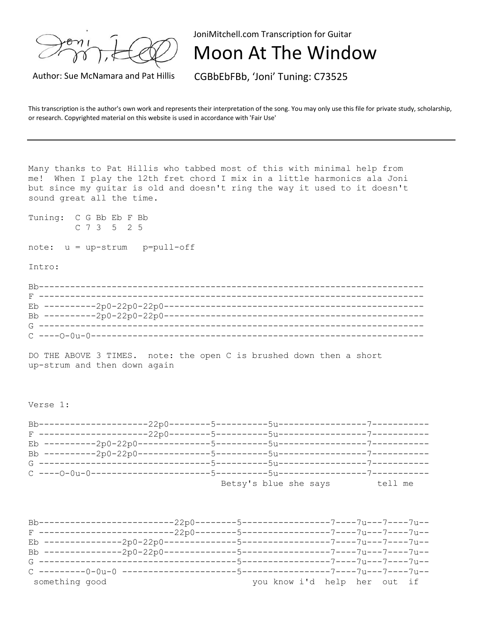JoniMitchell.com Transcription for Guitar

Moon At The Window

Author: Sue McNamara and Pat Hillis CGBbEbFBb, 'Joni' Tuning: C73525

This transcription is the author's own work and represents their interpretation of the song. You may only use this file for private study, scholarship, or research. Copyrighted material on this website is used in accordance with 'Fair Use'

Many thanks to Pat Hillis who tabbed most of this with minimal help from me! When I play the 12th fret chord I mix in a little harmonics ala Joni but since my guitar is old and doesn't ring the way it used to it doesn't sound great all the time.

Tuning: C G Bb Eb F Bb C 7 3 5 2 5

 $note: u = up-strum$  p=pull-off

Intro:

Bb-------------------------------------------------------------------------- F -------------------------------------------------------------------------- Eb ----------2p0-22p0-22p0-------------------------------------------------- Bb ----------2p0-22p0-22p0-------------------------------------------------- G -------------------------------------------------------------------------- C ----O-0u-0----------------------------------------------------------------

DO THE ABOVE 3 TIMES. note: the open C is brushed down then a short up-strum and then down again

Verse 1:

Bb---------------------22p0--------5----------5u-----------------7----------- F ---------------------22p0--------5----------5u-----------------7----------- Eb ----------2p0-22p0--------------5----------5u-----------------7----------- Bb ----------2p0-22p0--------------5----------5u-----------------7----------- G ---------------------------------5----------5u-----------------7----------- C ----O-0u-0-----------------------5----------5u-----------------7----------- Betsy's blue she says tell me

| $F$ -----                | -----------22p0--------5---------- |                                         | $-----7---7u---7---7---7u--$ |  |  |
|--------------------------|------------------------------------|-----------------------------------------|------------------------------|--|--|
| Eb -----------           |                                    |                                         |                              |  |  |
|                          |                                    |                                         |                              |  |  |
|                          |                                    |                                         |                              |  |  |
| G ---------------------- |                                    | --5-----------------7----7u---7----7u-- |                              |  |  |
|                          |                                    |                                         |                              |  |  |
| something good           |                                    | you know i'd help her out if            |                              |  |  |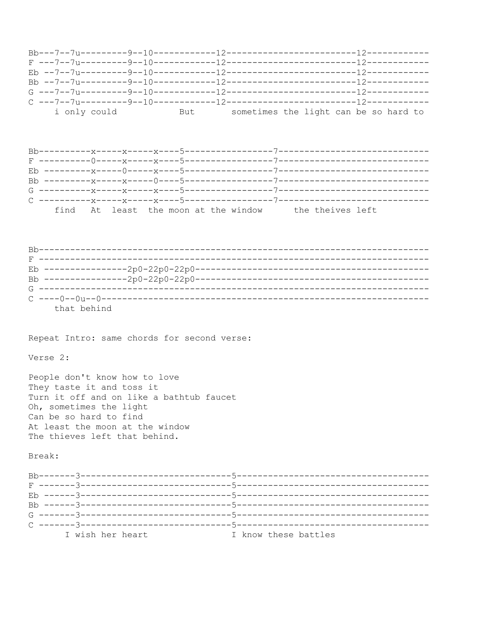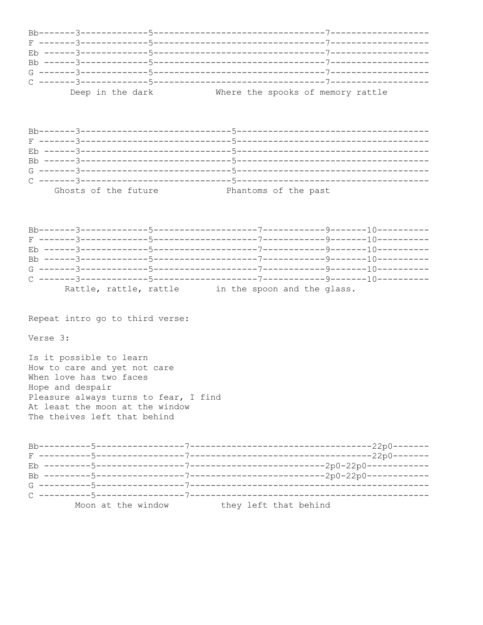|  | Deep in the dark | Where the spooks of memory rattle |
|--|------------------|-----------------------------------|

| Ghosts of the future | Phantoms of the past |  |
|----------------------|----------------------|--|

|  | Rattle, rattle, rattle |  |  | in the spoon and the glass. |  |
|--|------------------------|--|--|-----------------------------|--|

Repeat intro go to third verse:

Verse 3:

Is it possible to learn How to care and yet not care When love has two faces Hope and despair Pleasure always turns to fear, I find At least the moon at the window The theives left that behind

|  |                    | $-2p0-22p0------$     |
|--|--------------------|-----------------------|
|  |                    |                       |
|  |                    | ---2p0-22p0---------  |
|  |                    |                       |
|  |                    |                       |
|  |                    |                       |
|  |                    |                       |
|  |                    |                       |
|  | Moon at the window | they left that behind |
|  |                    |                       |
|  |                    |                       |